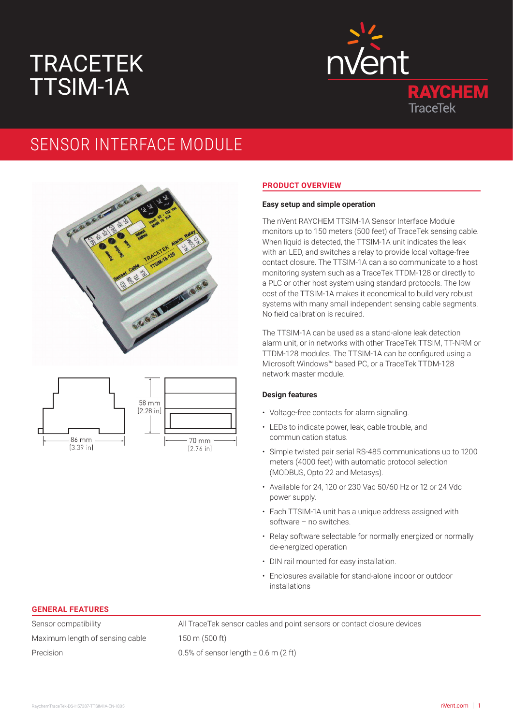# TRACETEK TTSIM-1A



## SENSOR INTERFACE MODULE





#### **PRODUCT OVERVIEW**

#### **Easy setup and simple operation**

The nVent RAYCHEM TTSIM-1A Sensor Interface Module monitors up to 150 meters (500 feet) of TraceTek sensing cable. When liquid is detected, the TTSIM-1A unit indicates the leak with an LED, and switches a relay to provide local voltage-free contact closure. The TTSIM-1A can also communicate to a host monitoring system such as a TraceTek TTDM-128 or directly to a PLC or other host system using standard protocols. The low cost of the TTSIM-1A makes it economical to build very robust systems with many small independent sensing cable segments. No field calibration is required.

The TTSIM-1A can be used as a stand-alone leak detection alarm unit, or in networks with other TraceTek TTSIM, TT-NRM or TTDM-128 modules. The TTSIM-1A can be configured using a Microsoft Windows™ based PC, or a TraceTek TTDM-128 network master module.

#### **Design features**

- Voltage-free contacts for alarm signaling.
- LEDs to indicate power, leak, cable trouble, and communication status.
- Simple twisted pair serial RS-485 communications up to 1200 meters (4000 feet) with automatic protocol selection (MODBUS, Opto 22 and Metasys).
- Available for 24, 120 or 230 Vac 50/60 Hz or 12 or 24 Vdc power supply.
- Each TTSIM-1A unit has a unique address assigned with software – no switches.
- Relay software selectable for normally energized or normally de-energized operation
- DIN rail mounted for easy installation.
- Enclosures available for stand-alone indoor or outdoor installations

#### **GENERAL FEATURES**

Maximum length of sensing cable 150 m (500 ft) Precision 0.5% of sensor length  $\pm$  0.6 m (2 ft)

Sensor compatibility All TraceTek sensor cables and point sensors or contact closure devices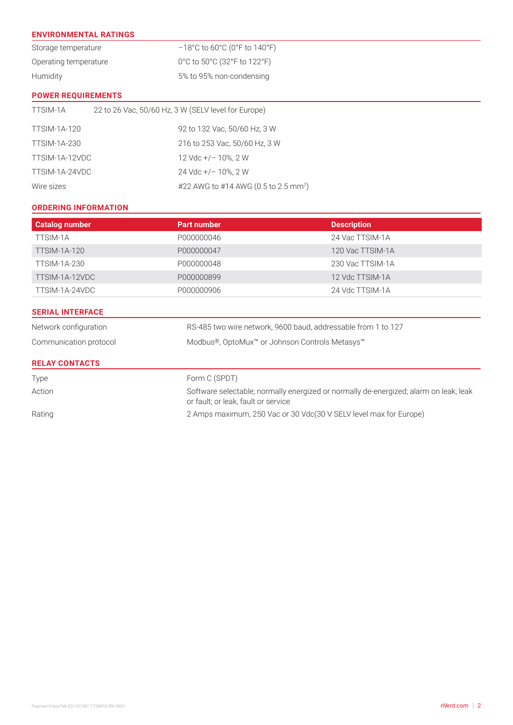#### **ENVIRONMENTAL RATINGS**

| Storage temperature   | $-18^{\circ}$ C to 60 $^{\circ}$ C (0 $^{\circ}$ F to 140 $^{\circ}$ F) |
|-----------------------|-------------------------------------------------------------------------|
| Operating temperature | 0°C to 50°C (32°F to 122°F)                                             |
| Humidity              | 5% to 95% non-condensing                                                |

#### **POWER REQUIREMENTS**

| TTSIM-1A            | 22 to 26 Vac, 50/60 Hz, 3 W (SELV level for Europe) |                                                  |
|---------------------|-----------------------------------------------------|--------------------------------------------------|
| <b>TTSIM-1A-120</b> |                                                     | 92 to 132 Vac, 50/60 Hz, 3 W                     |
| <b>TTSIM-1A-230</b> |                                                     | 216 to 253 Vac, 50/60 Hz, 3 W                    |
| TTSIM-1A-12VDC      |                                                     | 12 Vdc +/- 10%, 2 W                              |
| TTSIM-1A-24VDC      |                                                     | $24$ Vdc +/- 10%, 2 W                            |
| Wire sizes          |                                                     | #22 AWG to #14 AWG (0.5 to 2.5 mm <sup>2</sup> ) |

#### **ORDERING INFORMATION**

| <b>Catalog number</b>   | <b>Part number</b>                                            | <b>Description</b> |  |
|-------------------------|---------------------------------------------------------------|--------------------|--|
| TTSIM-1A                | P000000046                                                    | 24 Vac TTSIM-1A    |  |
| <b>TTSIM-1A-120</b>     | P000000047                                                    | 120 Vac TTSIM-1A   |  |
| TTSIM-1A-230            | P000000048                                                    | 230 Vac TTSIM-1A   |  |
| TTSIM-1A-12VDC          | P000000899                                                    | 12 Vdc TTSIM-1A    |  |
| TTSIM-1A-24VDC          | P000000906                                                    | 24 Vdc TTSIM-1A    |  |
| <b>SERIAL INTERFACE</b> |                                                               |                    |  |
| Network configuration   | RS-485 two wire network, 9600 baud, addressable from 1 to 127 |                    |  |
| Communication protocol  | Modbus®, OptoMux™ or Johnson Controls Metasys™                |                    |  |
| <b>RELAY CONTACTS</b>   |                                                               |                    |  |

### Type Form C (SPDT) Action Software selectable; normally energized or normally de-energized; alarm on leak; leak or fault; or leak, fault or service Rating 2 Amps maximum, 250 Vac or 30 Vdc(30 V SELV level max for Europe)